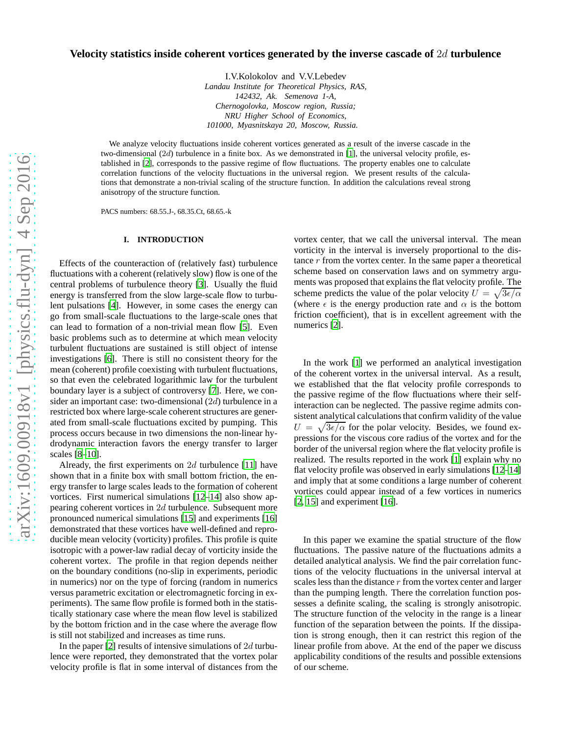# **Velocity statistics inside coherent vortices generated by the inverse cascade of** 2d **turbulence**

I.V.Kolokolov and V.V.Lebedev *Landau Institute for Theoretical Physics, RAS, 142432, Ak. Semenova 1-A, Chernogolovka, Moscow region, Russia; NRU Higher School of Economics, 101000, Myasnitskaya 20, Moscow, Russia.*

We analyze velocity fluctuations inside coherent vortices generated as a result of the inverse cascade in the two-dimensional (2d) turbulence in a finite box. As we demonstrated in [\[1](#page-4-0)], the universal velocity profile, established in [\[2\]](#page-4-1), corresponds to the passive regime of flow fluctuations. The property enables one to calculate correlation functions of the velocity fluctuations in the universal region. We present results of the calculations that demonstrate a non-trivial scaling of the structure function. In addition the calculations reveal strong anisotropy of the structure function.

PACS numbers: 68.55.J-, 68.35.Ct, 68.65.-k

## **I. INTRODUCTION**

Effects of the counteraction of (relatively fast) turbulence fluctuations with a coherent (relatively slow) flow is one of the central problems of turbulence theory [\[3](#page-4-2)]. Usually the fluid energy is transferred from the slow large-scale flow to turbulent pulsations [\[4\]](#page-4-3). However, in some cases the energy can go from small-scale fluctuations to the large-scale ones that can lead to formation of a non-trivial mean flow [\[5](#page-4-4)]. Even basic problems such as to determine at which mean velocity turbulent fluctuations are sustained is still object of intense investigations [\[6](#page-4-5)]. There is still no consistent theory for the mean (coherent) profile coexisting with turbulent fluctuations, so that even the celebrated logarithmic law for the turbulent boundary layer is a subject of controversy [\[7](#page-4-6)]. Here, we consider an important case: two-dimensional (2d) turbulence in a restricted box where large-scale coherent structures are generated from small-scale fluctuations excited by pumping. This process occurs because in two dimensions the non-linear hydrodynamic interaction favors the energy transfer to larger scales [\[8](#page-4-7)[–10\]](#page-4-8).

Already, the first experiments on  $2d$  turbulence [\[11\]](#page-4-9) have shown that in a finite box with small bottom friction, the energy transfer to large scales leads to the formation of coherent vortices. First numerical simulations [\[12](#page-4-10)[–14](#page-4-11)] also show appearing coherent vortices in 2d turbulence. Subsequent more pronounced numerical simulations [\[15](#page-4-12)] and experiments [\[16\]](#page-4-13) demonstrated that these vortices have well-defined and reproducible mean velocity (vorticity) profiles. This profile is quite isotropic with a power-law radial decay of vorticity inside the coherent vortex. The profile in that region depends neither on the boundary conditions (no-slip in experiments, periodic in numerics) nor on the type of forcing (random in numerics versus parametric excitation or electromagnetic forcing in experiments). The same flow profile is formed both in the statistically stationary case where the mean flow level is stabilized by the bottom friction and in the case where the average flow is still not stabilized and increases as time runs.

In the paper [\[2\]](#page-4-1) results of intensive simulations of  $2d$  turbulence were reported, they demonstrated that the vortex polar velocity profile is flat in some interval of distances from the

vortex center, that we call the universal interval. The mean vorticity in the interval is inversely proportional to the distance  $r$  from the vortex center. In the same paper a theoretical scheme based on conservation laws and on symmetry arguments was proposed that explains the flat velocity profile. The scheme predicts the value of the polar velocity  $U = \sqrt{3\epsilon/\alpha}$ (where  $\epsilon$  is the energy production rate and  $\alpha$  is the bottom friction coefficient), that is in excellent agreement with the numerics [\[2](#page-4-1)].

In the work [\[1\]](#page-4-0) we performed an analytical investigation of the coherent vortex in the universal interval. As a result, we established that the flat velocity profile corresponds to the passive regime of the flow fluctuations where their selfinteraction can be neglected. The passive regime admits consistent analytical calculations that confirm validity of the value  $U = \sqrt{3\epsilon/\alpha}$  for the polar velocity. Besides, we found expressions for the viscous core radius of the vortex and for the border of the universal region where the flat velocity profile is realized. The results reported in the work [\[1\]](#page-4-0) explain why no flat velocity profile was observed in early simulations [\[12](#page-4-10)[–14\]](#page-4-11) and imply that at some conditions a large number of coherent vortices could appear instead of a few vortices in numerics  $[2, 15]$  $[2, 15]$  $[2, 15]$  $[2, 15]$  and experiment  $[16]$ .

In this paper we examine the spatial structure of the flow fluctuations. The passive nature of the fluctuations admits a detailed analytical analysis. We find the pair correlation functions of the velocity fluctuations in the universal interval at scales less than the distance r from the vortex center and larger than the pumping length. There the correlation function possesses a definite scaling, the scaling is strongly anisotropic. The structure function of the velocity in the range is a linear function of the separation between the points. If the dissipation is strong enough, then it can restrict this region of the linear profile from above. At the end of the paper we discuss applicability conditions of the results and possible extensions of our scheme.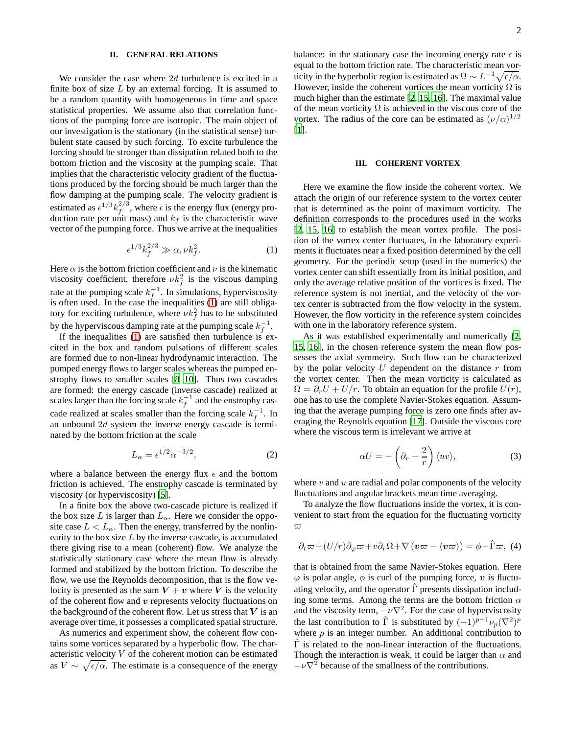## **II. GENERAL RELATIONS**

We consider the case where 2d turbulence is excited in a finite box of size  $L$  by an external forcing. It is assumed to be a random quantity with homogeneous in time and space statistical properties. We assume also that correlation functions of the pumping force are isotropic. The main object of our investigation is the stationary (in the statistical sense) turbulent state caused by such forcing. To excite turbulence the forcing should be stronger than dissipation related both to the bottom friction and the viscosity at the pumping scale. That implies that the characteristic velocity gradient of the fluctuations produced by the forcing should be much larger than the flow damping at the pumping scale. The velocity gradient is estimated as  $\epsilon^{1/3} k_f^{2/3}$  $f_f^{2/3}$ , where  $\epsilon$  is the energy flux (energy production rate per unit mass) and  $k_f$  is the characteristic wave vector of the pumping force. Thus we arrive at the inequalities

<span id="page-1-0"></span>
$$
\epsilon^{1/3} k_f^{2/3} \gg \alpha, \nu k_f^2. \tag{1}
$$

Here  $\alpha$  is the bottom friction coefficient and  $\nu$  is the kinematic viscosity coefficient, therefore  $\nu k_f^2$  is the viscous damping rate at the pumping scale  $k_f^{-1}$  $f^{-1}$ . In simulations, hyperviscosity is often used. In the case the inequalities [\(1\)](#page-1-0) are still obligatory for exciting turbulence, where  $\nu k_f^2$  has to be substituted by the hyperviscous damping rate at the pumping scale  $k_f^{-1}$  $\frac{-1}{f}$ .

If the inequalities  $(1)$  are satisfied then turbulence is excited in the box and random pulsations of different scales are formed due to non-linear hydrodynamic interaction. The pumped energy flows to larger scales whereas the pumped enstrophy flows to smaller scales [\[8](#page-4-7)[–10\]](#page-4-8). Thus two cascades are formed: the energy cascade (inverse cascade) realized at scales larger than the forcing scale  $k_f^{-1}$  $f^{-1}$  and the enstrophy cascade realized at scales smaller than the forcing scale  $k_f^{-1}$  $f^{-1}$ . In an unbound 2d system the inverse energy cascade is terminated by the bottom friction at the scale

$$
L_{\alpha} = \epsilon^{1/2} \alpha^{-3/2},\tag{2}
$$

where a balance between the energy flux  $\epsilon$  and the bottom friction is achieved. The enstrophy cascade is terminated by viscosity (or hyperviscosity) [\[5](#page-4-4)].

In a finite box the above two-cascade picture is realized if the box size L is larger than  $L_{\alpha}$ . Here we consider the opposite case  $L < L_{\alpha}$ . Then the energy, transferred by the nonlinearity to the box size  $L$  by the inverse cascade, is accumulated there giving rise to a mean (coherent) flow. We analyze the statistically stationary case where the mean flow is already formed and stabilized by the bottom friction. To describe the flow, we use the Reynolds decomposition, that is the flow velocity is presented as the sum  $V + v$  where V is the velocity of the coherent flow and  $v$  represents velocity fluctuations on the background of the coherent flow. Let us stress that  $V$  is an average over time, it possesses a complicated spatial structure.

As numerics and experiment show, the coherent flow contains some vortices separated by a hyperbolic flow. The characteristic velocity V of the coherent motion can be estimated as  $V \sim \sqrt{\epsilon/\alpha}$ . The estimate is a consequence of the energy

balance: in the stationary case the incoming energy rate  $\epsilon$  is equal to the bottom friction rate. The characteristic mean vorticity in the hyperbolic region is estimated as  $\Omega \sim L^{-1} \sqrt{\epsilon/\alpha}$ . However, inside the coherent vortices the mean vorticity  $\Omega$  is much higher than the estimate [\[2](#page-4-1), [15](#page-4-12), [16\]](#page-4-13). The maximal value of the mean vorticity  $\Omega$  is achieved in the viscous core of the vortex. The radius of the core can be estimated as  $(\nu/\alpha)^{1/2}$ [\[1](#page-4-0)].

#### **III. COHERENT VORTEX**

Here we examine the flow inside the coherent vortex. We attach the origin of our reference system to the vortex center that is determined as the point of maximum vorticity. The definition corresponds to the procedures used in the works [\[2](#page-4-1), [15,](#page-4-12) [16](#page-4-13)] to establish the mean vortex profile. The position of the vortex center fluctuates, in the laboratory experiments it fluctuates near a fixed position determined by the cell geometry. For the periodic setup (used in the numerics) the vortex center can shift essentially from its initial position, and only the average relative position of the vortices is fixed. The reference system is not inertial, and the velocity of the vortex center is subtracted from the flow velocity in the system. However, the flow vorticity in the reference system coincides with one in the laboratory reference system.

As it was established experimentally and numerically [\[2,](#page-4-1) [15](#page-4-12), [16\]](#page-4-13), in the chosen reference system the mean flow possesses the axial symmetry. Such flow can be characterized by the polar velocity  $U$  dependent on the distance  $r$  from the vortex center. Then the mean vorticity is calculated as  $\Omega = \partial_r U + U/r$ . To obtain an equation for the profile  $U(r)$ , one has to use the complete Navier-Stokes equation. Assuming that the average pumping force is zero one finds after averaging the Reynolds equation [\[17\]](#page-4-14). Outside the viscous core where the viscous term is irrelevant we arrive at

<span id="page-1-2"></span>
$$
\alpha U = -\left(\partial_r + \frac{2}{r}\right) \langle uv \rangle, \tag{3}
$$

where  $v$  and  $u$  are radial and polar components of the velocity fluctuations and angular brackets mean time averaging.

To analyze the flow fluctuations inside the vortex, it is convenient to start from the equation for the fluctuating vorticity  $\varpi$ 

<span id="page-1-1"></span>
$$
\partial_t \varpi + (U/r) \partial_{\varphi} \varpi + v \partial_r \Omega + \nabla \left( \boldsymbol{v} \varpi - \langle \boldsymbol{v} \varpi \rangle \right) = \phi - \hat{\Gamma} \varpi, \tag{4}
$$

that is obtained from the same Navier-Stokes equation. Here  $\varphi$  is polar angle,  $\phi$  is curl of the pumping force, v is fluctuating velocity, and the operator  $\Gamma$  presents dissipation including some terms. Among the terms are the bottom friction  $\alpha$ and the viscosity term,  $-v\nabla^2$ . For the case of hyperviscosity the last contribution to  $\hat{\Gamma}$  is substituted by  $(-1)^{p+1} \nu_p(\nabla^2)^p$ where  $p$  is an integer number. An additional contribution to  $\hat{\Gamma}$  is related to the non-linear interaction of the fluctuations. Though the interaction is weak, it could be larger than  $\alpha$  and  $-\nu \nabla^2$  because of the smallness of the contributions.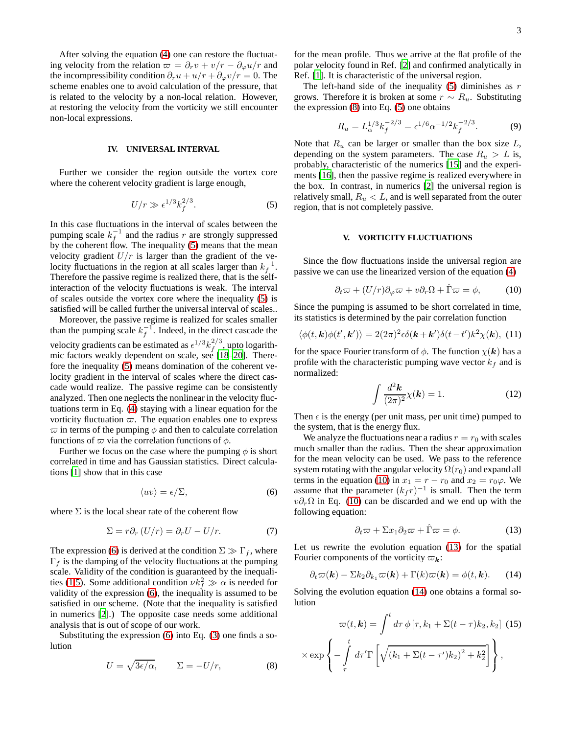After solving the equation [\(4\)](#page-1-1) one can restore the fluctuating velocity from the relation  $\varpi = \partial_r v + v/r - \partial_\varphi u/r$  and the incompressibility condition  $\partial_r u + u/r + \partial_\varphi v/r = 0$ . The scheme enables one to avoid calculation of the pressure, that is related to the velocity by a non-local relation. However, at restoring the velocity from the vorticity we still encounter non-local expressions.

#### **IV. UNIVERSAL INTERVAL**

Further we consider the region outside the vortex core where the coherent velocity gradient is large enough,

<span id="page-2-0"></span>
$$
U/r \gg \epsilon^{1/3} k_f^{2/3}.\tag{5}
$$

In this case fluctuations in the interval of scales between the pumping scale  $k_f^{-1}$  $f^{-1}$  and the radius r are strongly suppressed by the coherent flow. The inequality [\(5\)](#page-2-0) means that the mean velocity gradient  $U/r$  is larger than the gradient of the velocity fluctuations in the region at all scales larger than  $k_f^{-1}$ . Therefore the passive regime is realized there, that is the selfinteraction of the velocity fluctuations is weak. The interval of scales outside the vortex core where the inequality [\(5\)](#page-2-0) is satisfied will be called further the universal interval of scales..

Moreover, the passive regime is realized for scales smaller than the pumping scale  $k_f^{-1}$ . Indeed, in the direct cascade the velocity gradients can be estimated as  $\epsilon^{1/3} k_f^{2/3}$  $f^{2/3}$ , upto logarithmic factors weakly dependent on scale, see [\[18](#page-4-15)[–20\]](#page-5-0). Therefore the inequality [\(5\)](#page-2-0) means domination of the coherent velocity gradient in the interval of scales where the direct cascade would realize. The passive regime can be consistently analyzed. Then one neglects the nonlinear in the velocity fluctuations term in Eq. [\(4\)](#page-1-1) staying with a linear equation for the vorticity fluctuation  $\varpi$ . The equation enables one to express  $\varpi$  in terms of the pumping  $\phi$  and then to calculate correlation functions of  $\varpi$  via the correlation functions of  $\phi$ .

Further we focus on the case where the pumping  $\phi$  is short correlated in time and has Gaussian statistics. Direct calculations [\[1](#page-4-0)] show that in this case

<span id="page-2-1"></span>
$$
\langle uv \rangle = \epsilon / \Sigma, \tag{6}
$$

where  $\Sigma$  is the local shear rate of the coherent flow

$$
\Sigma = r \partial_r (U/r) = \partial_r U - U/r. \tag{7}
$$

The expression [\(6\)](#page-2-1) is derived at the condition  $\Sigma \gg \Gamma_f$ , where  $\Gamma_f$  is the damping of the velocity fluctuations at the pumping scale. Validity of the condition is guaranteed by the inequali-ties [\(1](#page-1-0)[,5\)](#page-2-0). Some additional condition  $\nu k_f^2 \gg \alpha$  is needed for validity of the expression [\(6\)](#page-2-1), the inequality is assumed to be satisfied in our scheme. (Note that the inequality is satisfied in numerics [\[2](#page-4-1)].) The opposite case needs some additional analysis that is out of scope of our work.

Substituting the expression [\(6\)](#page-2-1) into Eq. [\(3\)](#page-1-2) one finds a solution

<span id="page-2-2"></span>
$$
U = \sqrt{3\epsilon/\alpha}, \qquad \Sigma = -U/r, \tag{8}
$$

for the mean profile. Thus we arrive at the flat profile of the polar velocity found in Ref. [\[2](#page-4-1)] and confirmed analytically in Ref. [\[1](#page-4-0)]. It is characteristic of the universal region.

The left-hand side of the inequality  $(5)$  diminishes as r grows. Therefore it is broken at some  $r \sim R_u$ . Substituting the expression  $(8)$  into Eq.  $(5)$  one obtains

<span id="page-2-7"></span>
$$
R_u = L_{\alpha}^{1/3} k_f^{-2/3} = \epsilon^{1/6} \alpha^{-1/2} k_f^{-2/3}.
$$
 (9)

Note that  $R_u$  can be larger or smaller than the box size  $L$ , depending on the system parameters. The case  $R_u > L$  is, probably, characteristic of the numerics [\[15](#page-4-12)] and the experiments [\[16\]](#page-4-13), then the passive regime is realized everywhere in the box. In contrast, in numerics [\[2\]](#page-4-1) the universal region is relatively small,  $R_u < L$ , and is well separated from the outer region, that is not completely passive.

## **V. VORTICITY FLUCTUATIONS**

Since the flow fluctuations inside the universal region are passive we can use the linearized version of the equation [\(4\)](#page-1-1)

<span id="page-2-3"></span>
$$
\partial_t \varpi + (U/r)\partial_\varphi \varpi + v \partial_r \Omega + \hat{\Gamma} \varpi = \phi, \qquad (10)
$$

Since the pumping is assumed to be short correlated in time, its statistics is determined by the pair correlation function

<span id="page-2-6"></span>
$$
\langle \phi(t, \mathbf{k}) \phi(t', \mathbf{k'}) \rangle = 2(2\pi)^2 \epsilon \delta(\mathbf{k} + \mathbf{k'}) \delta(t - t') k^2 \chi(\mathbf{k}), \tag{11}
$$

for the space Fourier transform of  $\phi$ . The function  $\chi(\mathbf{k})$  has a profile with the characteristic pumping wave vector  $k_f$  and is normalized:

$$
\int \frac{d^2 \mathbf{k}}{(2\pi)^2} \chi(\mathbf{k}) = 1.
$$
 (12)

Then  $\epsilon$  is the energy (per unit mass, per unit time) pumped to the system, that is the energy flux.

We analyze the fluctuations near a radius  $r = r_0$  with scales much smaller than the radius. Then the shear approximation for the mean velocity can be used. We pass to the reference system rotating with the angular velocity  $\Omega(r_0)$  and expand all terms in the equation [\(10\)](#page-2-3) in  $x_1 = r - r_0$  and  $x_2 = r_0 \varphi$ . We assume that the parameter  $(k_f r)^{-1}$  is small. Then the term  $v\partial_r\Omega$  in Eq. [\(10\)](#page-2-3) can be discarded and we end up with the following equation:

<span id="page-2-4"></span>
$$
\partial_t \varpi + \Sigma x_1 \partial_2 \varpi + \hat{\Gamma} \varpi = \phi. \tag{13}
$$

Let us rewrite the evolution equation [\(13\)](#page-2-4) for the spatial Fourier components of the vorticity  $\varpi_k$ :

<span id="page-2-5"></span>
$$
\partial_t \varpi(\mathbf{k}) - \Sigma k_2 \partial_{k_1} \varpi(\mathbf{k}) + \Gamma(k) \varpi(\mathbf{k}) = \phi(t, \mathbf{k}). \tag{14}
$$

Solving the evolution equation [\(14\)](#page-2-5) one obtains a formal solution

$$
\varpi(t, \mathbf{k}) = \int^t d\tau \, \phi \left[ \tau, k_1 + \Sigma(t - \tau) k_2, k_2 \right] \tag{15}
$$
\n
$$
\langle \exp \left\{ - \int_{\tau}^t d\tau' \Gamma \left[ \sqrt{(k_1 + \Sigma(t - \tau') k_2)^2 + k_2^2} \right] \right\},
$$

 $\rightarrow$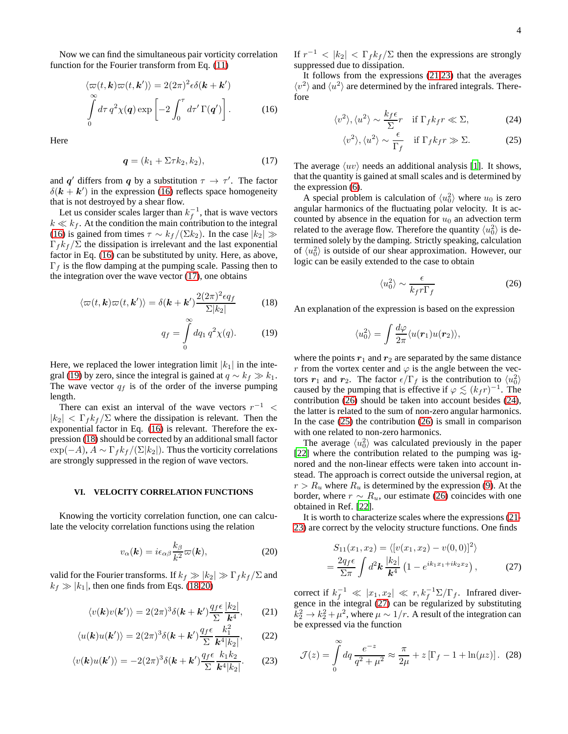Now we can find the simultaneous pair vorticity correlation function for the Fourier transform from Eq. [\(11\)](#page-2-6)

<span id="page-3-0"></span>
$$
\langle \varpi(t, \mathbf{k}) \varpi(t, \mathbf{k}') \rangle = 2(2\pi)^2 \epsilon \delta(\mathbf{k} + \mathbf{k}')
$$

$$
\int_{0}^{\infty} d\tau \, q^2 \chi(\mathbf{q}) \exp\left[-2 \int_{0}^{\tau} d\tau' \, \Gamma(\mathbf{q}')\right]. \tag{16}
$$

Here

<span id="page-3-1"></span>
$$
\mathbf{q} = (k_1 + \Sigma \tau k_2, k_2),\tag{17}
$$

and q' differs from q by a substitution  $\tau \to \tau'$ . The factor  $\delta(\mathbf{k} + \mathbf{k}')$  in the expression [\(16\)](#page-3-0) reflects space homogeneity that is not destroyed by a shear flow.

Let us consider scales larger than  $k_f^{-1}$ , that is wave vectors  $k \ll k_f$ . At the condition the main contribution to the integral [\(16\)](#page-3-0) is gained from times  $\tau \sim k_f/(\Sigma k_2)$ . In the case  $|k_2| \gg$  $\Gamma_f k_f / \Sigma$  the dissipation is irrelevant and the last exponential factor in Eq. [\(16\)](#page-3-0) can be substituted by unity. Here, as above,  $\Gamma_f$  is the flow damping at the pumping scale. Passing then to the integration over the wave vector [\(17\)](#page-3-1), one obtains

<span id="page-3-2"></span>
$$
\langle \varpi(t, \mathbf{k}) \varpi(t, \mathbf{k'}) \rangle = \delta(\mathbf{k} + \mathbf{k'}) \frac{2(2\pi)^2 \epsilon q_f}{\Sigma |k_2|} \tag{18}
$$

$$
q_f = \int\limits_0 dq_1 q^2 \chi(q). \tag{19}
$$

Here, we replaced the lower integration limit  $|k_1|$  in the inte-gral [\(19\)](#page-3-2) by zero, since the integral is gained at  $q \sim k_f \gg k_1$ . The wave vector  $q_f$  is of the order of the inverse pumping length.

There can exist an interval of the wave vectors  $r^{-1}$  <  $|k_2| < \Gamma_f k_f / \Sigma$  where the dissipation is relevant. Then the exponential factor in Eq. [\(16\)](#page-3-0) is relevant. Therefore the expression [\(18\)](#page-3-2) should be corrected by an additional small factor  $\exp(-A)$ ,  $A \sim \Gamma_f k_f/(\Sigma |k_2|)$ . Thus the vorticity correlations are strongly suppressed in the region of wave vectors.

### **VI. VELOCITY CORRELATION FUNCTIONS**

Knowing the vorticity correlation function, one can calculate the velocity correlation functions using the relation

<span id="page-3-3"></span>
$$
v_{\alpha}(\mathbf{k}) = i\epsilon_{\alpha\beta} \frac{k_{\beta}}{k^2} \varpi(\mathbf{k}), \qquad (20)
$$

valid for the Fourier transforms. If  $k_f \gg |k_2| \gg \Gamma_f k_f / \Sigma$  and  $k_f \gg |k_1|$ , then one finds from Eqs. [\(18,](#page-3-2)[20\)](#page-3-3)

<span id="page-3-4"></span>
$$
\langle v(\mathbf{k})v(\mathbf{k}')\rangle = 2(2\pi)^3 \delta(\mathbf{k} + \mathbf{k}') \frac{q_f \epsilon}{\Sigma} \frac{|k_2|}{\mathbf{k}^4},\qquad(21)
$$

$$
\langle u(\mathbf{k})u(\mathbf{k}')\rangle = 2(2\pi)^3 \delta(\mathbf{k} + \mathbf{k}') \frac{q_f \epsilon}{\Sigma} \frac{k_1^2}{\mathbf{k}^4 |k_2|},\qquad(22)
$$

$$
\langle v(\mathbf{k})u(\mathbf{k}')\rangle = -2(2\pi)^3 \delta(\mathbf{k} + \mathbf{k}') \frac{q_f \epsilon}{\Sigma} \frac{k_1 k_2}{\mathbf{k}^4 |k_2|}.
$$
 (23)

If  $r^{-1}$  <  $|k_2|$  <  $\Gamma_f k_f/\Sigma$  then the expressions are strongly suppressed due to dissipation.

It follows from the expressions [\(21,23\)](#page-3-4) that the averages  $\langle v^2 \rangle$  and  $\langle u^2 \rangle$  are determined by the infrared integrals. Therefore

<span id="page-3-6"></span>
$$
\langle v^2 \rangle, \langle u^2 \rangle \sim \frac{k_f \epsilon}{\Sigma} r \quad \text{if } \Gamma_f k_f r \ll \Sigma,
$$
 (24)

$$
\langle v^2 \rangle, \langle u^2 \rangle \sim \frac{\epsilon}{\Gamma_f} \quad \text{if } \Gamma_f k_f r \gg \Sigma. \tag{25}
$$

The average  $\langle uv \rangle$  needs an additional analysis [\[1](#page-4-0)]. It shows, that the quantity is gained at small scales and is determined by the expression [\(6\)](#page-2-1).

A special problem is calculation of  $\langle u_0^2 \rangle$  where  $u_0$  is zero angular harmonics of the fluctuating polar velocity. It is accounted by absence in the equation for  $u_0$  an advection term related to the average flow. Therefore the quantity  $\langle u_0^2 \rangle$  is determined solely by the damping. Strictly speaking, calculation of  $\langle u_0^2 \rangle$  is outside of our shear approximation. However, our logic can be easily extended to the case to obtain

<span id="page-3-5"></span>
$$
\langle u_0^2 \rangle \sim \frac{\epsilon}{k_f r \Gamma_f} \tag{26}
$$

An explanation of the expression is based on the expression

$$
\langle u_0^2 \rangle = \int \frac{d\varphi}{2\pi} \langle u(\boldsymbol{r}_1) u(\boldsymbol{r}_2) \rangle,
$$

where the points  $r_1$  and  $r_2$  are separated by the same distance r from the vortex center and  $\varphi$  is the angle between the vectors  $r_1$  and  $r_2$ . The factor  $\epsilon/\Gamma_f$  is the contribution to  $\langle u_0^2 \rangle$ caused by the pumping that is effective if  $\varphi \lesssim (k_f r)^{-1}$ . The contribution [\(26\)](#page-3-5) should be taken into account besides [\(24\)](#page-3-6), the latter is related to the sum of non-zero angular harmonics. In the case  $(25)$  the contribution  $(26)$  is small in comparison with one related to non-zero harmonics.

The average  $\langle u_0^2 \rangle$  was calculated previously in the paper [\[22](#page-5-1)] where the contribution related to the pumping was ignored and the non-linear effects were taken into account instead. The approach is correct outside the universal region, at  $r > R_u$  where  $R_u$  is determined by the expression [\(9\)](#page-2-7). At the border, where  $r \sim R_u$ , our estimate [\(26\)](#page-3-5) coincides with one obtained in Ref. [\[22](#page-5-1)].

It is worth to characterize scales where the expressions [\(21-](#page-3-4) [23\)](#page-3-4) are correct by the velocity structure functions. One finds

<span id="page-3-7"></span>
$$
S_{11}(x_1, x_2) = \langle [v(x_1, x_2) - v(0, 0)]^2 \rangle
$$
  
= 
$$
\frac{2q_f \epsilon}{\Sigma \pi} \int d^2 \mathbf{k} \frac{|k_2|}{\mathbf{k}^4} (1 - e^{ik_1 x_1 + ik_2 x_2}),
$$
 (27)

correct if  $k_f^{-1} \ll |x_1, x_2| \ll r, k_f^{-1} \Sigma / \Gamma_f$ . Infrared divergence in the integral [\(27\)](#page-3-7) can be regularized by substituting  $k_2^2 \rightarrow k_2^2 + \mu^2$ , where  $\mu \sim 1/r$ . A result of the integration can be expressed via the function

$$
\mathcal{J}(z) = \int_{0}^{\infty} dq \, \frac{e^{-z}}{q^2 + \mu^2} \approx \frac{\pi}{2\mu} + z \left[ \Gamma_f - 1 + \ln(\mu z) \right]. \tag{28}
$$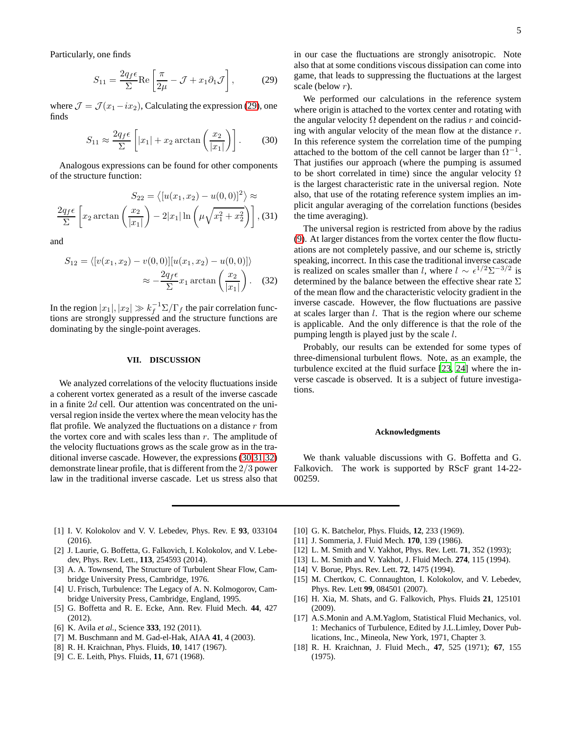Particularly, one finds

<span id="page-4-16"></span>
$$
S_{11} = \frac{2q_f \epsilon}{\Sigma} \text{Re} \left[ \frac{\pi}{2\mu} - \mathcal{J} + x_1 \partial_1 \mathcal{J} \right],\tag{29}
$$

where  $\mathcal{J} = \mathcal{J}(x_1 - ix_2)$ , Calculating the expression [\(29\)](#page-4-16), one finds

<span id="page-4-18"></span><span id="page-4-17"></span>
$$
S_{11} \approx \frac{2q_f \epsilon}{\Sigma} \left[ |x_1| + x_2 \arctan\left(\frac{x_2}{|x_1|}\right) \right].
$$
 (30)

Analogous expressions can be found for other components of the structure function:

$$
S_{22} = \langle [u(x_1, x_2) - u(0, 0)]^2 \rangle \approx
$$

$$
\frac{2q_f \epsilon}{\Sigma} \left[ x_2 \arctan\left(\frac{x_2}{|x_1|}\right) - 2|x_1| \ln\left(\mu \sqrt{x_1^2 + x_2^2}\right) \right],
$$
(31)

and

<span id="page-4-19"></span>
$$
S_{12} = \langle [v(x_1, x_2) - v(0, 0)][u(x_1, x_2) - u(0, 0)] \rangle
$$
  

$$
\approx -\frac{2q_f \epsilon}{\Sigma} x_1 \arctan\left(\frac{x_2}{|x_1|}\right). \quad (32)
$$

In the region  $|x_1|, |x_2| \gg k_f^{-1} \Sigma / \Gamma_f$  the pair correlation functions are strongly suppressed and the structure functions are dominating by the single-point averages.

#### **VII. DISCUSSION**

We analyzed correlations of the velocity fluctuations inside a coherent vortex generated as a result of the inverse cascade in a finite  $2d$  cell. Our attention was concentrated on the universal region inside the vertex where the mean velocity has the flat profile. We analyzed the fluctuations on a distance  $r$  from the vortex core and with scales less than  $r$ . The amplitude of the velocity fluctuations grows as the scale grow as in the traditional inverse cascade. However, the expressions [\(30](#page-4-17)[,31](#page-4-18)[,32\)](#page-4-19) demonstrate linear profile, that is different from the 2/3 power law in the traditional inverse cascade. Let us stress also that in our case the fluctuations are strongly anisotropic. Note also that at some conditions viscous dissipation can come into game, that leads to suppressing the fluctuations at the largest scale (below r).

We performed our calculations in the reference system where origin is attached to the vortex center and rotating with the angular velocity  $\Omega$  dependent on the radius r and coinciding with angular velocity of the mean flow at the distance r. In this reference system the correlation time of the pumping attached to the bottom of the cell cannot be larger than  $\Omega^{-1}$ . That justifies our approach (where the pumping is assumed to be short correlated in time) since the angular velocity  $\Omega$ is the largest characteristic rate in the universal region. Note also, that use of the rotating reference system implies an implicit angular averaging of the correlation functions (besides the time averaging).

The universal region is restricted from above by the radius [\(9\)](#page-2-7). At larger distances from the vortex center the flow fluctuations are not completely passive, and our scheme is, strictly speaking, incorrect. In this case the traditional inverse cascade is realized on scales smaller than l, where  $l \sim \epsilon^{1/2} \Sigma^{-3/2}$  is determined by the balance between the effective shear rate  $\Sigma$ of the mean flow and the characteristic velocity gradient in the inverse cascade. However, the flow fluctuations are passive at scales larger than  $l$ . That is the region where our scheme is applicable. And the only difference is that the role of the pumping length is played just by the scale l.

Probably, our results can be extended for some types of three-dimensional turbulent flows. Note, as an example, the turbulence excited at the fluid surface [\[23](#page-5-2), [24\]](#page-5-3) where the inverse cascade is observed. It is a subject of future investigations.

#### **Acknowledgments**

We thank valuable discussions with G. Boffetta and G. Falkovich. The work is supported by RScF grant 14-22- 00259.

- <span id="page-4-0"></span>[1] I. V. Kolokolov and V. V. Lebedev, Phys. Rev. E **93**, 033104 (2016).
- <span id="page-4-1"></span>[2] J. Laurie, G. Boffetta, G. Falkovich, I. Kolokolov, and V. Lebedev, Phys. Rev. Lett., **113**, 254593 (2014).
- <span id="page-4-2"></span>[3] A. A. Townsend, The Structure of Turbulent Shear Flow, Cambridge University Press, Cambridge, 1976.
- <span id="page-4-3"></span>[4] U. Frisch, Turbulence: The Legacy of A. N. Kolmogorov, Cambridge University Press, Cambridge, England, 1995.
- <span id="page-4-4"></span>[5] G. Boffetta and R. E. Ecke, Ann. Rev. Fluid Mech. **44**, 427 (2012).
- <span id="page-4-5"></span>[6] K. Avila *et al.*, Science **333**, 192 (2011).
- <span id="page-4-6"></span>[7] M. Buschmann and M. Gad-el-Hak, AIAA **41**, 4 (2003).
- <span id="page-4-7"></span>[8] R. H. Kraichnan, Phys. Fluids, **10**, 1417 (1967).
- [9] C. E. Leith, Phys. Fluids, **11**, 671 (1968).
- <span id="page-4-8"></span>[10] G. K. Batchelor, Phys. Fluids, **12**, 233 (1969).
- <span id="page-4-9"></span>[11] J. Sommeria, J. Fluid Mech. **170**, 139 (1986).
- <span id="page-4-10"></span>[12] L. M. Smith and V. Yakhot, Phys. Rev. Lett. **71**, 352 (1993);
- [13] L. M. Smith and V. Yakhot, J. Fluid Mech. **274**, 115 (1994).
- <span id="page-4-11"></span>[14] V. Borue, Phys. Rev. Lett. **72**, 1475 (1994).
- <span id="page-4-12"></span>[15] M. Chertkov, C. Connaughton, I. Kolokolov, and V. Lebedev, Phys. Rev. Lett **99**, 084501 (2007).
- <span id="page-4-13"></span>[16] H. Xia, M. Shats, and G. Falkovich, Phys. Fluids **21**, 125101 (2009).
- <span id="page-4-14"></span>[17] A.S.Monin and A.M.Yaglom, Statistical Fluid Mechanics, vol. 1: Mechanics of Turbulence, Edited by J.L.Limley, Dover Publications, Inc., Mineola, New York, 1971, Chapter 3.
- <span id="page-4-15"></span>[18] R. H. Kraichnan, J. Fluid Mech., **47**, 525 (1971); **67**, 155 (1975).